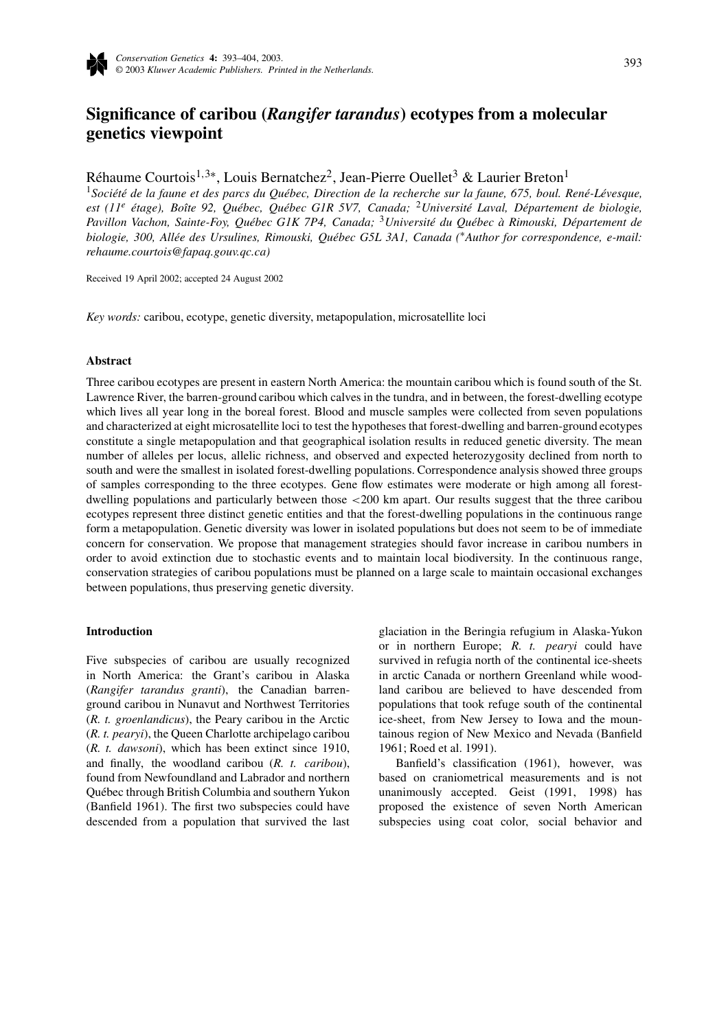

# **Significance of caribou (***Rangifer tarandus***) ecotypes from a molecular genetics viewpoint**

Réhaume Courtois<sup>1,3∗</sup>, Louis Bernatchez<sup>2</sup>, Jean-Pierre Ouellet<sup>3</sup> & Laurier Breton<sup>1</sup>

<sup>1</sup> Société de la faune et des parcs du Québec, Direction de la recherche sur la faune, 675, boul. René-Lévesque, *est (11<sup>e</sup> étage), Boîte 92, Québec, Québec G1R 5V7, Canada; <sup>2</sup><i>Université Laval, Département de biologie, Pavillon Vachon, Sainte-Foy, Qu´ebec G1K 7P4, Canada;* <sup>3</sup>*Universit´e du Qu´ebec `a Rimouski, D´epartement de biologie, 300, All´ee des Ursulines, Rimouski, Qu´ebec G5L 3A1, Canada (*∗*Author for correspondence, e-mail: rehaume.courtois@fapaq.gouv.qc.ca)*

Received 19 April 2002; accepted 24 August 2002

*Key words:* caribou, ecotype, genetic diversity, metapopulation, microsatellite loci

## **Abstract**

Three caribou ecotypes are present in eastern North America: the mountain caribou which is found south of the St. Lawrence River, the barren-ground caribou which calves in the tundra, and in between, the forest-dwelling ecotype which lives all year long in the boreal forest. Blood and muscle samples were collected from seven populations and characterized at eight microsatellite loci to test the hypotheses that forest-dwelling and barren-ground ecotypes constitute a single metapopulation and that geographical isolation results in reduced genetic diversity. The mean number of alleles per locus, allelic richness, and observed and expected heterozygosity declined from north to south and were the smallest in isolated forest-dwelling populations. Correspondence analysis showed three groups of samples corresponding to the three ecotypes. Gene flow estimates were moderate or high among all forestdwelling populations and particularly between those *<*200 km apart. Our results suggest that the three caribou ecotypes represent three distinct genetic entities and that the forest-dwelling populations in the continuous range form a metapopulation. Genetic diversity was lower in isolated populations but does not seem to be of immediate concern for conservation. We propose that management strategies should favor increase in caribou numbers in order to avoid extinction due to stochastic events and to maintain local biodiversity. In the continuous range, conservation strategies of caribou populations must be planned on a large scale to maintain occasional exchanges between populations, thus preserving genetic diversity.

## **Introduction**

Five subspecies of caribou are usually recognized in North America: the Grant's caribou in Alaska (*Rangifer tarandus granti*), the Canadian barrenground caribou in Nunavut and Northwest Territories (*R. t. groenlandicus*), the Peary caribou in the Arctic (*R. t. pearyi*), the Queen Charlotte archipelago caribou (*R. t. dawsoni*), which has been extinct since 1910, and finally, the woodland caribou (*R. t. caribou*), found from Newfoundland and Labrador and northern Québec through British Columbia and southern Yukon (Banfield 1961). The first two subspecies could have descended from a population that survived the last glaciation in the Beringia refugium in Alaska-Yukon or in northern Europe; *R. t. pearyi* could have survived in refugia north of the continental ice-sheets in arctic Canada or northern Greenland while woodland caribou are believed to have descended from populations that took refuge south of the continental ice-sheet, from New Jersey to Iowa and the mountainous region of New Mexico and Nevada (Banfield 1961; Roed et al. 1991).

Banfield's classification (1961), however, was based on craniometrical measurements and is not unanimously accepted. Geist (1991, 1998) has proposed the existence of seven North American subspecies using coat color, social behavior and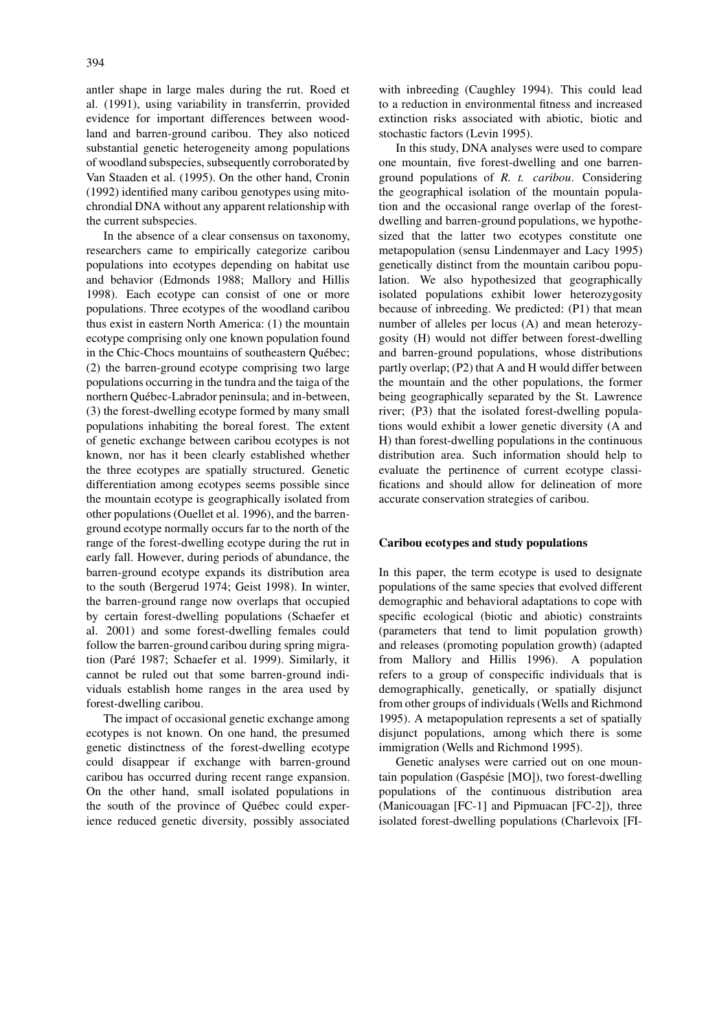antler shape in large males during the rut. Roed et al. (1991), using variability in transferrin, provided evidence for important differences between woodland and barren-ground caribou. They also noticed substantial genetic heterogeneity among populations of woodland subspecies, subsequently corroborated by Van Staaden et al. (1995). On the other hand, Cronin (1992) identified many caribou genotypes using mitochrondial DNA without any apparent relationship with the current subspecies.

In the absence of a clear consensus on taxonomy, researchers came to empirically categorize caribou populations into ecotypes depending on habitat use and behavior (Edmonds 1988; Mallory and Hillis 1998). Each ecotype can consist of one or more populations. Three ecotypes of the woodland caribou thus exist in eastern North America: (1) the mountain ecotype comprising only one known population found in the Chic-Chocs mountains of southeastern Québec; (2) the barren-ground ecotype comprising two large populations occurring in the tundra and the taiga of the northern Québec-Labrador peninsula; and in-between, (3) the forest-dwelling ecotype formed by many small populations inhabiting the boreal forest. The extent of genetic exchange between caribou ecotypes is not known, nor has it been clearly established whether the three ecotypes are spatially structured. Genetic differentiation among ecotypes seems possible since the mountain ecotype is geographically isolated from other populations (Ouellet et al. 1996), and the barrenground ecotype normally occurs far to the north of the range of the forest-dwelling ecotype during the rut in early fall. However, during periods of abundance, the barren-ground ecotype expands its distribution area to the south (Bergerud 1974; Geist 1998). In winter, the barren-ground range now overlaps that occupied by certain forest-dwelling populations (Schaefer et al. 2001) and some forest-dwelling females could follow the barren-ground caribou during spring migration (Paré 1987; Schaefer et al. 1999). Similarly, it cannot be ruled out that some barren-ground individuals establish home ranges in the area used by forest-dwelling caribou.

The impact of occasional genetic exchange among ecotypes is not known. On one hand, the presumed genetic distinctness of the forest-dwelling ecotype could disappear if exchange with barren-ground caribou has occurred during recent range expansion. On the other hand, small isolated populations in the south of the province of Québec could experience reduced genetic diversity, possibly associated

with inbreeding (Caughley 1994). This could lead to a reduction in environmental fitness and increased extinction risks associated with abiotic, biotic and stochastic factors (Levin 1995).

In this study, DNA analyses were used to compare one mountain, five forest-dwelling and one barrenground populations of *R. t. caribou*. Considering the geographical isolation of the mountain population and the occasional range overlap of the forestdwelling and barren-ground populations, we hypothesized that the latter two ecotypes constitute one metapopulation (sensu Lindenmayer and Lacy 1995) genetically distinct from the mountain caribou population. We also hypothesized that geographically isolated populations exhibit lower heterozygosity because of inbreeding. We predicted: (P1) that mean number of alleles per locus (A) and mean heterozygosity (H) would not differ between forest-dwelling and barren-ground populations, whose distributions partly overlap; (P2) that A and H would differ between the mountain and the other populations, the former being geographically separated by the St. Lawrence river; (P3) that the isolated forest-dwelling populations would exhibit a lower genetic diversity (A and H) than forest-dwelling populations in the continuous distribution area. Such information should help to evaluate the pertinence of current ecotype classifications and should allow for delineation of more accurate conservation strategies of caribou.

## **Caribou ecotypes and study populations**

In this paper, the term ecotype is used to designate populations of the same species that evolved different demographic and behavioral adaptations to cope with specific ecological (biotic and abiotic) constraints (parameters that tend to limit population growth) and releases (promoting population growth) (adapted from Mallory and Hillis 1996). A population refers to a group of conspecific individuals that is demographically, genetically, or spatially disjunct from other groups of individuals (Wells and Richmond 1995). A metapopulation represents a set of spatially disjunct populations, among which there is some immigration (Wells and Richmond 1995).

Genetic analyses were carried out on one mountain population (Gaspésie [MO]), two forest-dwelling populations of the continuous distribution area (Manicouagan [FC-1] and Pipmuacan [FC-2]), three isolated forest-dwelling populations (Charlevoix [FI-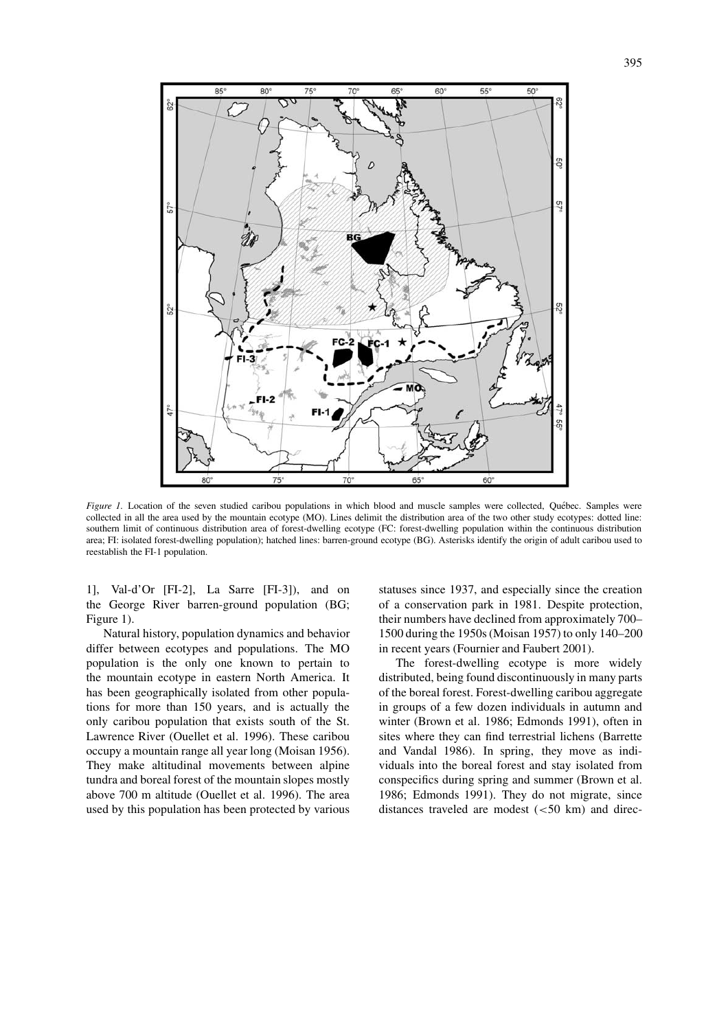

*Figure 1.* Location of the seven studied caribou populations in which blood and muscle samples were collected, Québec. Samples were collected in all the area used by the mountain ecotype (MO). Lines delimit the distribution area of the two other study ecotypes: dotted line: southern limit of continuous distribution area of forest-dwelling ecotype (FC: forest-dwelling population within the continuous distribution area; FI: isolated forest-dwelling population); hatched lines: barren-ground ecotype (BG). Asterisks identify the origin of adult caribou used to reestablish the FI-1 population.

1], Val-d'Or [FI-2], La Sarre [FI-3]), and on the George River barren-ground population (BG; Figure 1).

Natural history, population dynamics and behavior differ between ecotypes and populations. The MO population is the only one known to pertain to the mountain ecotype in eastern North America. It has been geographically isolated from other populations for more than 150 years, and is actually the only caribou population that exists south of the St. Lawrence River (Ouellet et al. 1996). These caribou occupy a mountain range all year long (Moisan 1956). They make altitudinal movements between alpine tundra and boreal forest of the mountain slopes mostly above 700 m altitude (Ouellet et al. 1996). The area used by this population has been protected by various statuses since 1937, and especially since the creation of a conservation park in 1981. Despite protection, their numbers have declined from approximately 700– 1500 during the 1950s (Moisan 1957) to only 140–200 in recent years (Fournier and Faubert 2001).

The forest-dwelling ecotype is more widely distributed, being found discontinuously in many parts of the boreal forest. Forest-dwelling caribou aggregate in groups of a few dozen individuals in autumn and winter (Brown et al. 1986; Edmonds 1991), often in sites where they can find terrestrial lichens (Barrette and Vandal 1986). In spring, they move as individuals into the boreal forest and stay isolated from conspecifics during spring and summer (Brown et al. 1986; Edmonds 1991). They do not migrate, since distances traveled are modest (*<*50 km) and direc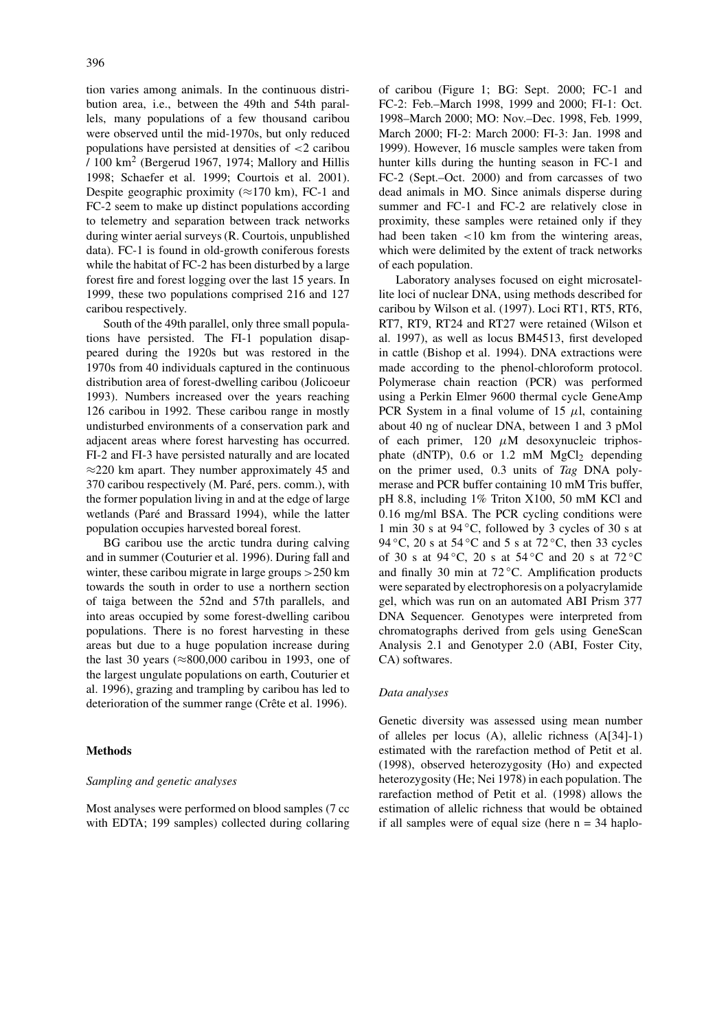tion varies among animals. In the continuous distribution area, i.e., between the 49th and 54th parallels, many populations of a few thousand caribou were observed until the mid-1970s, but only reduced populations have persisted at densities of *<*2 caribou  $/ 100$  km<sup>2</sup> (Bergerud 1967, 1974; Mallory and Hillis 1998; Schaefer et al. 1999; Courtois et al. 2001). Despite geographic proximity ( $\approx$ 170 km), FC-1 and FC-2 seem to make up distinct populations according to telemetry and separation between track networks during winter aerial surveys (R. Courtois, unpublished data). FC-1 is found in old-growth coniferous forests while the habitat of FC-2 has been disturbed by a large forest fire and forest logging over the last 15 years. In 1999, these two populations comprised 216 and 127 caribou respectively.

South of the 49th parallel, only three small populations have persisted. The FI-1 population disappeared during the 1920s but was restored in the 1970s from 40 individuals captured in the continuous distribution area of forest-dwelling caribou (Jolicoeur 1993). Numbers increased over the years reaching 126 caribou in 1992. These caribou range in mostly undisturbed environments of a conservation park and adjacent areas where forest harvesting has occurred. FI-2 and FI-3 have persisted naturally and are located  $\approx$ 220 km apart. They number approximately 45 and 370 caribou respectively (M. Paré, pers. comm.), with the former population living in and at the edge of large wetlands (Paré and Brassard 1994), while the latter population occupies harvested boreal forest.

BG caribou use the arctic tundra during calving and in summer (Couturier et al. 1996). During fall and winter, these caribou migrate in large groups *>*250 km towards the south in order to use a northern section of taiga between the 52nd and 57th parallels, and into areas occupied by some forest-dwelling caribou populations. There is no forest harvesting in these areas but due to a huge population increase during the last 30 years ( $\approx$ 800,000 caribou in 1993, one of the largest ungulate populations on earth, Couturier et al. 1996), grazing and trampling by caribou has led to deterioration of the summer range (Crête et al. 1996).

#### **Methods**

## *Sampling and genetic analyses*

Most analyses were performed on blood samples (7 cc with EDTA; 199 samples) collected during collaring of caribou (Figure 1; BG: Sept. 2000; FC-1 and FC-2: Feb.–March 1998, 1999 and 2000; FI-1: Oct. 1998–March 2000; MO: Nov.–Dec. 1998, Feb. 1999, March 2000; FI-2: March 2000: FI-3: Jan. 1998 and 1999). However, 16 muscle samples were taken from hunter kills during the hunting season in FC-1 and FC-2 (Sept.–Oct. 2000) and from carcasses of two dead animals in MO. Since animals disperse during summer and FC-1 and FC-2 are relatively close in proximity, these samples were retained only if they had been taken *<*10 km from the wintering areas, which were delimited by the extent of track networks of each population.

Laboratory analyses focused on eight microsatellite loci of nuclear DNA, using methods described for caribou by Wilson et al. (1997). Loci RT1, RT5, RT6, RT7, RT9, RT24 and RT27 were retained (Wilson et al. 1997), as well as locus BM4513, first developed in cattle (Bishop et al. 1994). DNA extractions were made according to the phenol-chloroform protocol. Polymerase chain reaction (PCR) was performed using a Perkin Elmer 9600 thermal cycle GeneAmp PCR System in a final volume of 15  $\mu$ l, containing about 40 ng of nuclear DNA, between 1 and 3 pMol of each primer, 120 *µ*M desoxynucleic triphosphate (dNTP),  $0.6$  or  $1.2$  mM MgCl<sub>2</sub> depending on the primer used, 0.3 units of *Tag* DNA polymerase and PCR buffer containing 10 mM Tris buffer, pH 8.8, including 1% Triton X100, 50 mM KCl and 0.16 mg/ml BSA. The PCR cycling conditions were 1 min 30 s at 94 ◦C, followed by 3 cycles of 30 s at 94 °C, 20 s at  $54$  °C and 5 s at  $72$  °C, then 33 cycles of 30 s at  $94\textdegree$ C, 20 s at  $54\textdegree$ C and 20 s at  $72\textdegree$ C and finally 30 min at  $72^{\circ}$ C. Amplification products were separated by electrophoresis on a polyacrylamide gel, which was run on an automated ABI Prism 377 DNA Sequencer. Genotypes were interpreted from chromatographs derived from gels using GeneScan Analysis 2.1 and Genotyper 2.0 (ABI, Foster City, CA) softwares.

#### *Data analyses*

Genetic diversity was assessed using mean number of alleles per locus (A), allelic richness (A[34]-1) estimated with the rarefaction method of Petit et al. (1998), observed heterozygosity (Ho) and expected heterozygosity (He; Nei 1978) in each population. The rarefaction method of Petit et al. (1998) allows the estimation of allelic richness that would be obtained if all samples were of equal size (here  $n = 34$  haplo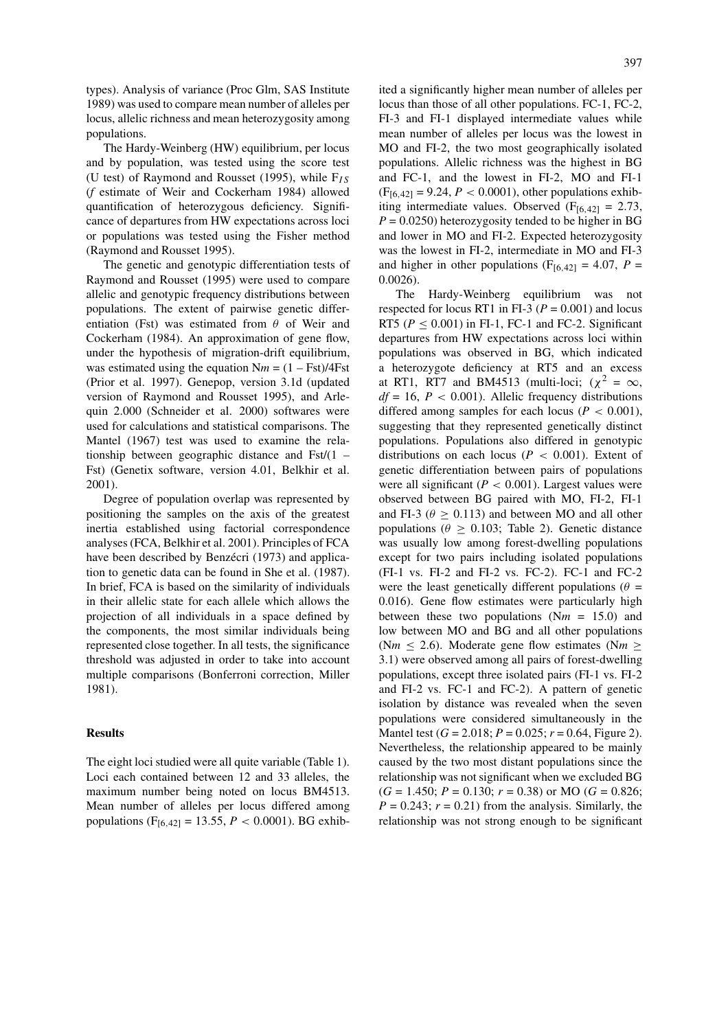types). Analysis of variance (Proc Glm, SAS Institute 1989) was used to compare mean number of alleles per locus, allelic richness and mean heterozygosity among populations.

The Hardy-Weinberg (HW) equilibrium, per locus and by population, was tested using the score test (U test) of Raymond and Rousset (1995), while F*I S* (*f* estimate of Weir and Cockerham 1984) allowed quantification of heterozygous deficiency. Significance of departures from HW expectations across loci or populations was tested using the Fisher method (Raymond and Rousset 1995).

The genetic and genotypic differentiation tests of Raymond and Rousset (1995) were used to compare allelic and genotypic frequency distributions between populations. The extent of pairwise genetic differentiation (Fst) was estimated from *θ* of Weir and Cockerham (1984). An approximation of gene flow, under the hypothesis of migration-drift equilibrium, was estimated using the equation  $Nm = (1 - Fst)/4Fst$ (Prior et al. 1997). Genepop, version 3.1d (updated version of Raymond and Rousset 1995), and Arlequin 2.000 (Schneider et al. 2000) softwares were used for calculations and statistical comparisons. The Mantel (1967) test was used to examine the relationship between geographic distance and Fst/(1 – Fst) (Genetix software, version 4.01, Belkhir et al. 2001).

Degree of population overlap was represented by positioning the samples on the axis of the greatest inertia established using factorial correspondence analyses (FCA, Belkhir et al. 2001). Principles of FCA have been described by Benzécri (1973) and application to genetic data can be found in She et al. (1987). In brief, FCA is based on the similarity of individuals in their allelic state for each allele which allows the projection of all individuals in a space defined by the components, the most similar individuals being represented close together. In all tests, the significance threshold was adjusted in order to take into account multiple comparisons (Bonferroni correction, Miller 1981).

#### **Results**

The eight loci studied were all quite variable (Table 1). Loci each contained between 12 and 33 alleles, the maximum number being noted on locus BM4513. Mean number of alleles per locus differed among populations ( $F_{[6,42]} = 13.55$ ,  $P < 0.0001$ ). BG exhibited a significantly higher mean number of alleles per locus than those of all other populations. FC-1, FC-2, FI-3 and FI-1 displayed intermediate values while mean number of alleles per locus was the lowest in MO and FI-2, the two most geographically isolated populations. Allelic richness was the highest in BG and FC-1, and the lowest in FI-2, MO and FI-1  $(F_{[6,42]} = 9.24, P < 0.0001)$ , other populations exhibiting intermediate values. Observed  $(F_{[6,42]} = 2.73)$ ,  $P = 0.0250$ ) heterozygosity tended to be higher in BG and lower in MO and FI-2. Expected heterozygosity was the lowest in FI-2, intermediate in MO and FI-3 and higher in other populations ( $F_{[6,42]} = 4.07$ ,  $P =$ 0.0026).

The Hardy-Weinberg equilibrium was not respected for locus RT1 in FI-3 ( $P = 0.001$ ) and locus RT5 ( $P < 0.001$ ) in FI-1, FC-1 and FC-2. Significant departures from HW expectations across loci within populations was observed in BG, which indicated a heterozygote deficiency at RT5 and an excess at RT1, RT7 and BM4513 (multi-loci;  $(\chi^2 = \infty)$ ,  $df = 16$ ,  $P < 0.001$ ). Allelic frequency distributions differed among samples for each locus ( $P < 0.001$ ), suggesting that they represented genetically distinct populations. Populations also differed in genotypic distributions on each locus ( $P < 0.001$ ). Extent of genetic differentiation between pairs of populations were all significant  $(P < 0.001)$ . Largest values were observed between BG paired with MO, FI-2, FI-1 and FI-3 ( $\theta \ge 0.113$ ) and between MO and all other populations ( $\theta > 0.103$ ; Table 2). Genetic distance was usually low among forest-dwelling populations except for two pairs including isolated populations (FI-1 vs. FI-2 and FI-2 vs. FC-2). FC-1 and FC-2 were the least genetically different populations ( $\theta$  = 0.016). Gene flow estimates were particularly high between these two populations  $(Nm = 15.0)$  and low between MO and BG and all other populations ( $Nm \le 2.6$ ). Moderate gene flow estimates ( $Nm \ge$ 3.1) were observed among all pairs of forest-dwelling populations, except three isolated pairs (FI-1 vs. FI-2 and FI-2 vs. FC-1 and FC-2). A pattern of genetic isolation by distance was revealed when the seven populations were considered simultaneously in the Mantel test  $(G = 2.018; P = 0.025; r = 0.64,$  Figure 2). Nevertheless, the relationship appeared to be mainly caused by the two most distant populations since the relationship was not significant when we excluded BG  $(G = 1.450; P = 0.130; r = 0.38)$  or MO  $(G = 0.826;$  $P = 0.243$ ;  $r = 0.21$ ) from the analysis. Similarly, the relationship was not strong enough to be significant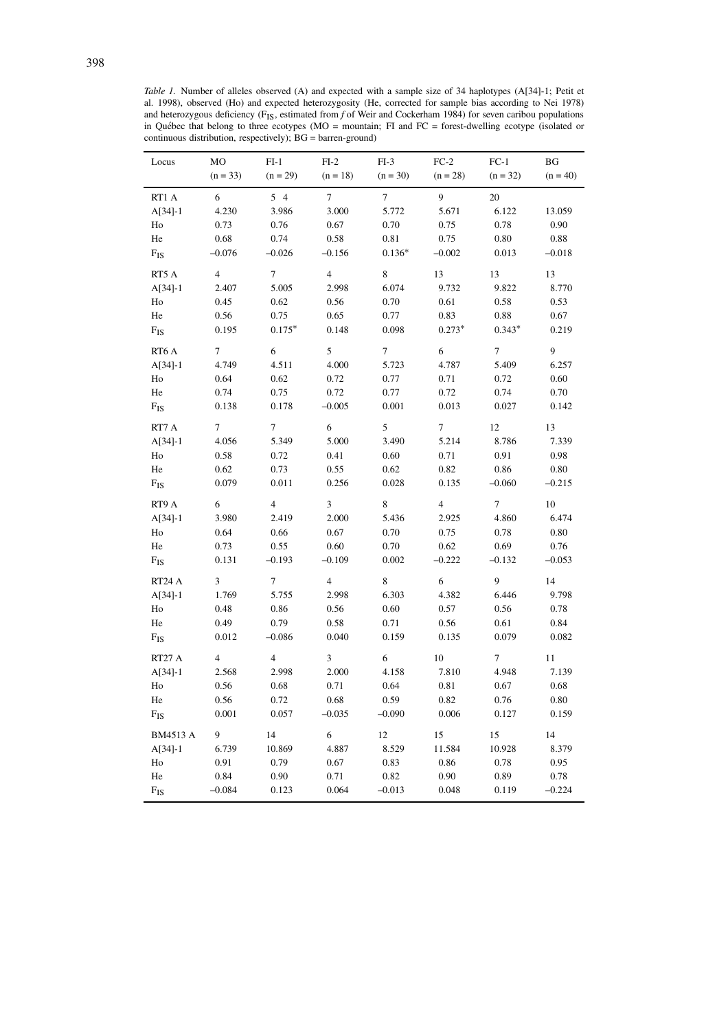*Table 1.* Number of alleles observed (A) and expected with a sample size of 34 haplotypes (A[34]-1; Petit et al. 1998), observed (Ho) and expected heterozygosity (He, corrected for sample bias according to Nei 1978) and heterozygous deficiency (F<sub>IS</sub>, estimated from *f* of Weir and Cockerham 1984) for seven caribou populations in Québec that belong to three ecotypes ( $MO =$  mountain;  $FI$  and  $FC =$  forest-dwelling ecotype (isolated or continuous distribution, respectively); BG = barren-ground)

| Locus              | MO<br>$(n = 33)$ | $FI-1$<br>$(n = 29)$ | $FI-2$<br>$(n = 18)$ | $FI-3$<br>$(n = 30)$ | $FC-2$<br>$(n = 28)$ | $FC-1$<br>$(n = 32)$ | BG<br>$(n = 40)$ |
|--------------------|------------------|----------------------|----------------------|----------------------|----------------------|----------------------|------------------|
| RT1 A              | $\sqrt{6}$       | 54                   | $\overline{7}$       | $\boldsymbol{7}$     | $\overline{9}$       | $20\,$               |                  |
| $A[34]-1$          | 4.230            | 3.986                | 3.000                | 5.772                | 5.671                | 6.122                | 13.059           |
| Ho                 | 0.73             | 0.76                 | 0.67                 | 0.70                 | 0.75                 | 0.78                 | 0.90             |
| He                 | 0.68             | 0.74                 | 0.58                 | 0.81                 | 0.75                 | 0.80                 | 0.88             |
| $F_{IS}$           | $-0.076$         | $-0.026$             | $-0.156$             | $0.136*$             | $-0.002$             | 0.013                | $-0.018$         |
| RT5 A              | $\overline{4}$   | 7                    | $\overline{4}$       | 8                    | 13                   | 13                   | 13               |
| $A[34]-1$          | 2.407            | 5.005                | 2.998                | 6.074                | 9.732                | 9.822                | 8.770            |
| Ho                 | 0.45             | 0.62                 | 0.56                 | 0.70                 | 0.61                 | 0.58                 | 0.53             |
| He                 | 0.56             | 0.75                 | 0.65                 | 0.77                 | 0.83                 | 0.88                 | 0.67             |
| $F_{IS}$           | 0.195            | $0.175*$             | 0.148                | 0.098                | $0.273*$             | $0.343*$             | 0.219            |
| RT <sub>6</sub> A  | 7                | 6                    | 5                    | $\tau$               | 6                    | $\tau$               | 9                |
| $A[34]-1$          | 4.749            | 4.511                | 4.000                | 5.723                | 4.787                | 5.409                | 6.257            |
| Ho                 | 0.64             | 0.62                 | 0.72                 | 0.77                 | 0.71                 | 0.72                 | 0.60             |
| He                 | 0.74             | 0.75                 | 0.72                 | 0.77                 | 0.72                 | 0.74                 | 0.70             |
| $F_{IS}$           | 0.138            | 0.178                | $-0.005$             | 0.001                | 0.013                | 0.027                | 0.142            |
| RT7 A              | 7                | 7                    | 6                    | 5                    | $\tau$               | 12                   | 13               |
| $A[34]-1$          | 4.056            | 5.349                | 5.000                | 3.490                | 5.214                | 8.786                | 7.339            |
| Ho                 | 0.58             | 0.72                 | 0.41                 | 0.60                 | 0.71                 | 0.91                 | 0.98             |
| He                 | 0.62             | 0.73                 | 0.55                 | 0.62                 | 0.82                 | 0.86                 | 0.80             |
| $F_{IS}$           | 0.079            | 0.011                | 0.256                | 0.028                | 0.135                | $-0.060$             | $-0.215$         |
| RT9 A              | 6                | $\overline{4}$       | 3                    | $8\,$                | $\overline{4}$       | $\tau$               | 10               |
| $A[34]-1$          | 3.980            | 2.419                | 2.000                | 5.436                | 2.925                | 4.860                | 6.474            |
| Ho                 | 0.64             | 0.66                 | 0.67                 | 0.70                 | 0.75                 | 0.78                 | 0.80             |
| He                 | 0.73             | 0.55                 | 0.60                 | 0.70                 | 0.62                 | 0.69                 | 0.76             |
| $F_{IS}$           | 0.131            | $-0.193$             | $-0.109$             | 0.002                | $-0.222$             | $-0.132$             | $-0.053$         |
| RT <sub>24</sub> A | $\overline{3}$   | 7                    | $\overline{4}$       | $8\,$                | 6                    | 9                    | 14               |
| $A[34]-1$          | 1.769            | 5.755                | 2.998                | 6.303                | 4.382                | 6.446                | 9.798            |
| Ho                 | 0.48             | 0.86                 | 0.56                 | 0.60                 | 0.57                 | 0.56                 | 0.78             |
| He                 | 0.49             | 0.79                 | 0.58                 | 0.71                 | 0.56                 | 0.61                 | 0.84             |
| $F_{IS}$           | 0.012            | $-0.086$             | 0.040                | 0.159                | 0.135                | 0.079                | 0.082            |
| RT <sub>27</sub> A | $\overline{4}$   | $\overline{4}$       | $\overline{3}$       | $\sqrt{6}$           | $10\,$               | $\tau$               | 11               |
| $A[34]-1$          | 2.568            | 2.998                | 2.000                | 4.158                | 7.810                | 4.948                | 7.139            |
| Ho                 | 0.56             | 0.68                 | 0.71                 | 0.64                 | 0.81                 | $0.67\,$             | 0.68             |
| He                 | 0.56             | 0.72                 | 0.68                 | 0.59                 | 0.82                 | 0.76                 | $0.80\,$         |
| $F_{IS}$           | 0.001            | 0.057                | $-0.035$             | $-0.090$             | 0.006                | 0.127                | 0.159            |
| BM4513 A           | 9                | 14                   | 6                    | 12                   | 15                   | 15                   | 14               |
| $A[34]-1$          | 6.739            | 10.869               | 4.887                | 8.529                | 11.584               | 10.928               | 8.379            |
| Ho                 | 0.91             | 0.79                 | 0.67                 | 0.83                 | 0.86                 | 0.78                 | 0.95             |
| He                 | 0.84             | 0.90                 | 0.71                 | 0.82                 | 0.90                 | 0.89                 | 0.78             |
| $F_{IS}$           | $-0.084$         | 0.123                | 0.064                | $-0.013$             | 0.048                | 0.119                | $-0.224$         |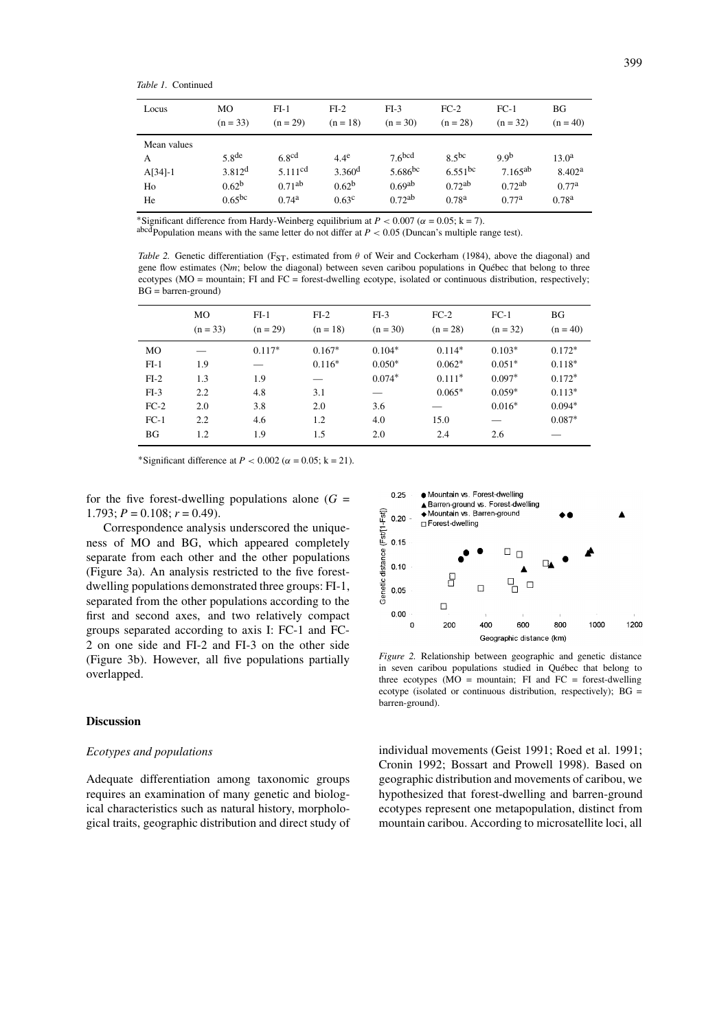| Locus                                     | MO                                                                        | $FI-1$                                                                       | $FI-2$                                                               | $FI-3$                                                                    | $FC-2$                                                                  | $FC-1$                                                               | <b>BG</b>                                                                      |
|-------------------------------------------|---------------------------------------------------------------------------|------------------------------------------------------------------------------|----------------------------------------------------------------------|---------------------------------------------------------------------------|-------------------------------------------------------------------------|----------------------------------------------------------------------|--------------------------------------------------------------------------------|
|                                           | $(n = 33)$                                                                | $(n = 29)$                                                                   | $(n = 18)$                                                           | $(n = 30)$                                                                | $(n = 28)$                                                              | $(n = 32)$                                                           | $(n = 40)$                                                                     |
| Mean values<br>A<br>$A[34]-1$<br>Ho<br>He | 5.8 <sup>de</sup><br>3.812 <sup>d</sup><br>0.62 <sup>b</sup><br>$0.65$ bc | 6.8 <sup>cd</sup><br>5.111 <sup>cd</sup><br>$0.71^{ab}$<br>0.74 <sup>a</sup> | $4.4^e$<br>3.360 <sup>d</sup><br>0.62 <sup>b</sup><br>$0.63^{\circ}$ | $7.6$ <sub>bcd</sub><br>$5.686^{bc}$<br>0.69 <sup>ab</sup><br>$0.72^{ab}$ | $8.5^{bc}$<br>$6.551$ <sup>bc</sup><br>$0.72^{ab}$<br>0.78 <sup>a</sup> | 9.9 <sup>b</sup><br>$7.165^{ab}$<br>$0.72^{ab}$<br>0.77 <sup>a</sup> | $13.0^{\rm a}$<br>8.402 <sup>a</sup><br>0.77 <sup>a</sup><br>0.78 <sup>a</sup> |

\*Significant difference from Hardy-Weinberg equilibrium at  $P < 0.007$  ( $\alpha = 0.05$ ; k = 7). abcd<sub>P</sub>opulation means with the same letter do not differ at  $P < 0.05$  (Duncan's multiple range test).

*Table 2.* Genetic differentiation (F<sub>ST</sub>, estimated from *θ* of Weir and Cockerham (1984), above the diagonal) and gene flow estimates (N*m*; below the diagonal) between seven caribou populations in Québec that belong to three ecotypes (MO = mountain; FI and FC = forest-dwelling ecotype, isolated or continuous distribution, respectively;  $BG = \text{barren-ground}$ 

|           | MO<br>$(n = 33)$ | $FI-1$<br>$(n = 29)$ | $FI-2$<br>$(n = 18)$ | $FI-3$<br>$(n = 30)$ | $FC-2$<br>$(n = 28)$ | $FC-1$<br>$(n = 32)$ | <b>BG</b><br>$(n = 40)$ |
|-----------|------------------|----------------------|----------------------|----------------------|----------------------|----------------------|-------------------------|
| MO        |                  | $0.117*$             | $0.167*$             | $0.104*$             | $0.114*$             | $0.103*$             | $0.172*$                |
| $FI-1$    | 1.9              |                      | $0.116*$             | $0.050*$             | $0.062*$             | $0.051*$             | $0.118*$                |
| $FI-2$    | 1.3              | 1.9                  |                      | $0.074*$             | $0.111*$             | $0.097*$             | $0.172*$                |
| $FI-3$    | 2.2              | 4.8                  | 3.1                  |                      | $0.065*$             | $0.059*$             | $0.113*$                |
| $FC-2$    | 2.0              | 3.8                  | 2.0                  | 3.6                  |                      | $0.016*$             | $0.094*$                |
| $FC-1$    | 2.2              | 4.6                  | 1.2                  | 4.0                  | 15.0                 |                      | $0.087*$                |
| <b>BG</b> | 1.2              | 1.9                  | 1.5                  | 2.0                  | 2.4                  | 2.6                  |                         |

\*Significant difference at  $P < 0.002$  ( $\alpha = 0.05$ ; k = 21).

for the five forest-dwelling populations alone  $(G =$ 1.793;  $P = 0.108$ ;  $r = 0.49$ ).

Correspondence analysis underscored the uniqueness of MO and BG, which appeared completely separate from each other and the other populations (Figure 3a). An analysis restricted to the five forestdwelling populations demonstrated three groups: FI-1, separated from the other populations according to the first and second axes, and two relatively compact groups separated according to axis I: FC-1 and FC-2 on one side and FI-2 and FI-3 on the other side (Figure 3b). However, all five populations partially overlapped.

# **Discussion**

## *Ecotypes and populations*

Adequate differentiation among taxonomic groups requires an examination of many genetic and biological characteristics such as natural history, morphological traits, geographic distribution and direct study of



*Figure 2.* Relationship between geographic and genetic distance in seven caribou populations studied in Québec that belong to three ecotypes  $(MO =$  mountain; FI and FC = forest-dwelling ecotype (isolated or continuous distribution, respectively); BG = barren-ground).

individual movements (Geist 1991; Roed et al. 1991; Cronin 1992; Bossart and Prowell 1998). Based on geographic distribution and movements of caribou, we hypothesized that forest-dwelling and barren-ground ecotypes represent one metapopulation, distinct from mountain caribou. According to microsatellite loci, all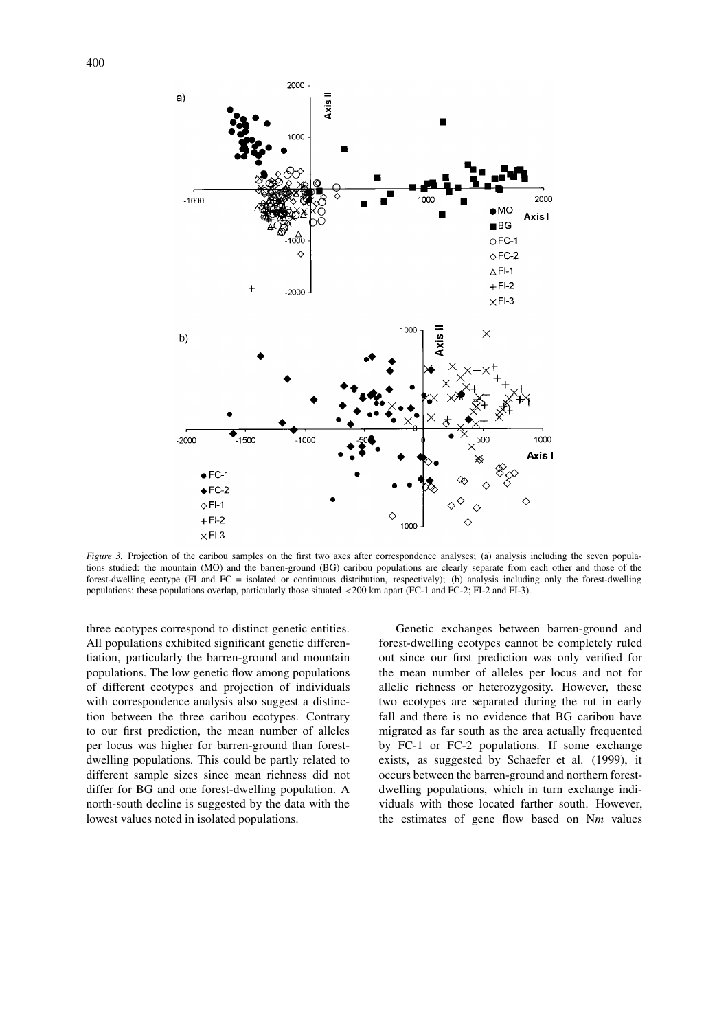



*Figure 3.* Projection of the caribou samples on the first two axes after correspondence analyses; (a) analysis including the seven populations studied: the mountain (MO) and the barren-ground (BG) caribou populations are clearly separate from each other and those of the forest-dwelling ecotype (FI and FC = isolated or continuous distribution, respectively); (b) analysis including only the forest-dwelling populations: these populations overlap, particularly those situated *<*200 km apart (FC-1 and FC-2; FI-2 and FI-3).

three ecotypes correspond to distinct genetic entities. All populations exhibited significant genetic differentiation, particularly the barren-ground and mountain populations. The low genetic flow among populations of different ecotypes and projection of individuals with correspondence analysis also suggest a distinction between the three caribou ecotypes. Contrary to our first prediction, the mean number of alleles per locus was higher for barren-ground than forestdwelling populations. This could be partly related to different sample sizes since mean richness did not differ for BG and one forest-dwelling population. A north-south decline is suggested by the data with the lowest values noted in isolated populations.

Genetic exchanges between barren-ground and forest-dwelling ecotypes cannot be completely ruled out since our first prediction was only verified for the mean number of alleles per locus and not for allelic richness or heterozygosity. However, these two ecotypes are separated during the rut in early fall and there is no evidence that BG caribou have migrated as far south as the area actually frequented by FC-1 or FC-2 populations. If some exchange exists, as suggested by Schaefer et al. (1999), it occurs between the barren-ground and northern forestdwelling populations, which in turn exchange individuals with those located farther south. However, the estimates of gene flow based on N*m* values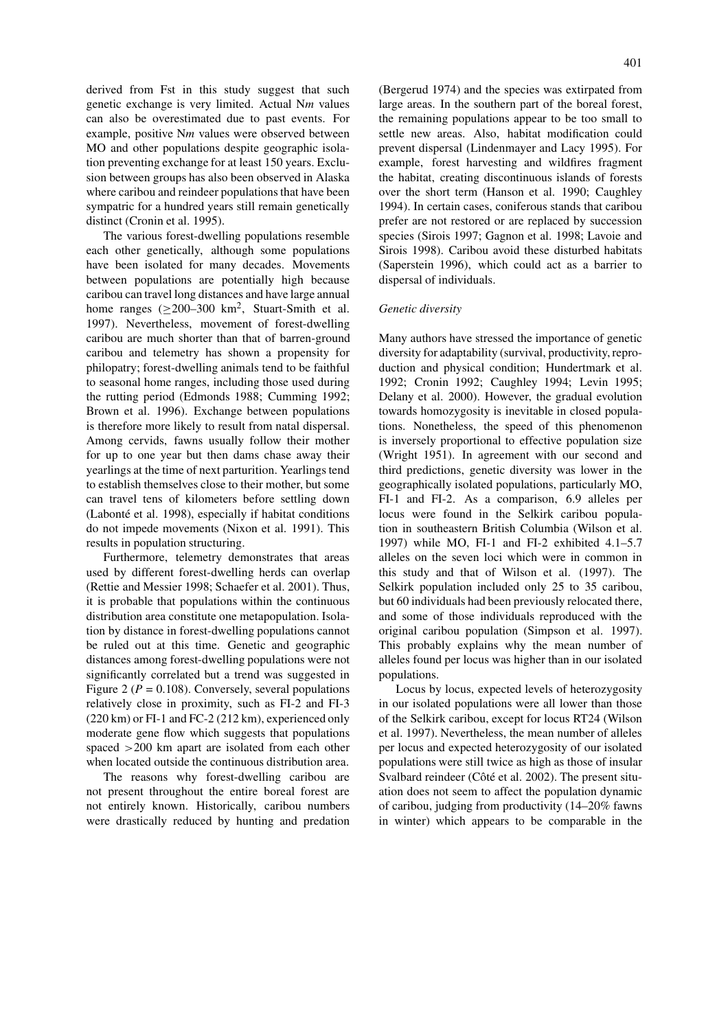derived from Fst in this study suggest that such genetic exchange is very limited. Actual N*m* values can also be overestimated due to past events. For example, positive N*m* values were observed between MO and other populations despite geographic isolation preventing exchange for at least 150 years. Exclusion between groups has also been observed in Alaska where caribou and reindeer populations that have been sympatric for a hundred years still remain genetically distinct (Cronin et al. 1995).

The various forest-dwelling populations resemble each other genetically, although some populations have been isolated for many decades. Movements between populations are potentially high because caribou can travel long distances and have large annual home ranges  $(\geq 200-300 \text{ km}^2, \text{ Stuart-Smith}$  et al. 1997). Nevertheless, movement of forest-dwelling caribou are much shorter than that of barren-ground caribou and telemetry has shown a propensity for philopatry; forest-dwelling animals tend to be faithful to seasonal home ranges, including those used during the rutting period (Edmonds 1988; Cumming 1992; Brown et al. 1996). Exchange between populations is therefore more likely to result from natal dispersal. Among cervids, fawns usually follow their mother for up to one year but then dams chase away their yearlings at the time of next parturition. Yearlings tend to establish themselves close to their mother, but some can travel tens of kilometers before settling down (Labonté et al. 1998), especially if habitat conditions do not impede movements (Nixon et al. 1991). This results in population structuring.

Furthermore, telemetry demonstrates that areas used by different forest-dwelling herds can overlap (Rettie and Messier 1998; Schaefer et al. 2001). Thus, it is probable that populations within the continuous distribution area constitute one metapopulation. Isolation by distance in forest-dwelling populations cannot be ruled out at this time. Genetic and geographic distances among forest-dwelling populations were not significantly correlated but a trend was suggested in Figure 2 ( $P = 0.108$ ). Conversely, several populations relatively close in proximity, such as FI-2 and FI-3 (220 km) or FI-1 and FC-2 (212 km), experienced only moderate gene flow which suggests that populations spaced *>*200 km apart are isolated from each other when located outside the continuous distribution area.

The reasons why forest-dwelling caribou are not present throughout the entire boreal forest are not entirely known. Historically, caribou numbers were drastically reduced by hunting and predation (Bergerud 1974) and the species was extirpated from large areas. In the southern part of the boreal forest, the remaining populations appear to be too small to settle new areas. Also, habitat modification could prevent dispersal (Lindenmayer and Lacy 1995). For example, forest harvesting and wildfires fragment the habitat, creating discontinuous islands of forests over the short term (Hanson et al. 1990; Caughley 1994). In certain cases, coniferous stands that caribou prefer are not restored or are replaced by succession species (Sirois 1997; Gagnon et al. 1998; Lavoie and Sirois 1998). Caribou avoid these disturbed habitats (Saperstein 1996), which could act as a barrier to dispersal of individuals.

#### *Genetic diversity*

Many authors have stressed the importance of genetic diversity for adaptability (survival, productivity, reproduction and physical condition; Hundertmark et al. 1992; Cronin 1992; Caughley 1994; Levin 1995; Delany et al. 2000). However, the gradual evolution towards homozygosity is inevitable in closed populations. Nonetheless, the speed of this phenomenon is inversely proportional to effective population size (Wright 1951). In agreement with our second and third predictions, genetic diversity was lower in the geographically isolated populations, particularly MO, FI-1 and FI-2. As a comparison, 6.9 alleles per locus were found in the Selkirk caribou population in southeastern British Columbia (Wilson et al. 1997) while MO, FI-1 and FI-2 exhibited 4.1–5.7 alleles on the seven loci which were in common in this study and that of Wilson et al. (1997). The Selkirk population included only 25 to 35 caribou, but 60 individuals had been previously relocated there, and some of those individuals reproduced with the original caribou population (Simpson et al. 1997). This probably explains why the mean number of alleles found per locus was higher than in our isolated populations.

Locus by locus, expected levels of heterozygosity in our isolated populations were all lower than those of the Selkirk caribou, except for locus RT24 (Wilson et al. 1997). Nevertheless, the mean number of alleles per locus and expected heterozygosity of our isolated populations were still twice as high as those of insular Svalbard reindeer (Côté et al. 2002). The present situation does not seem to affect the population dynamic of caribou, judging from productivity (14–20% fawns in winter) which appears to be comparable in the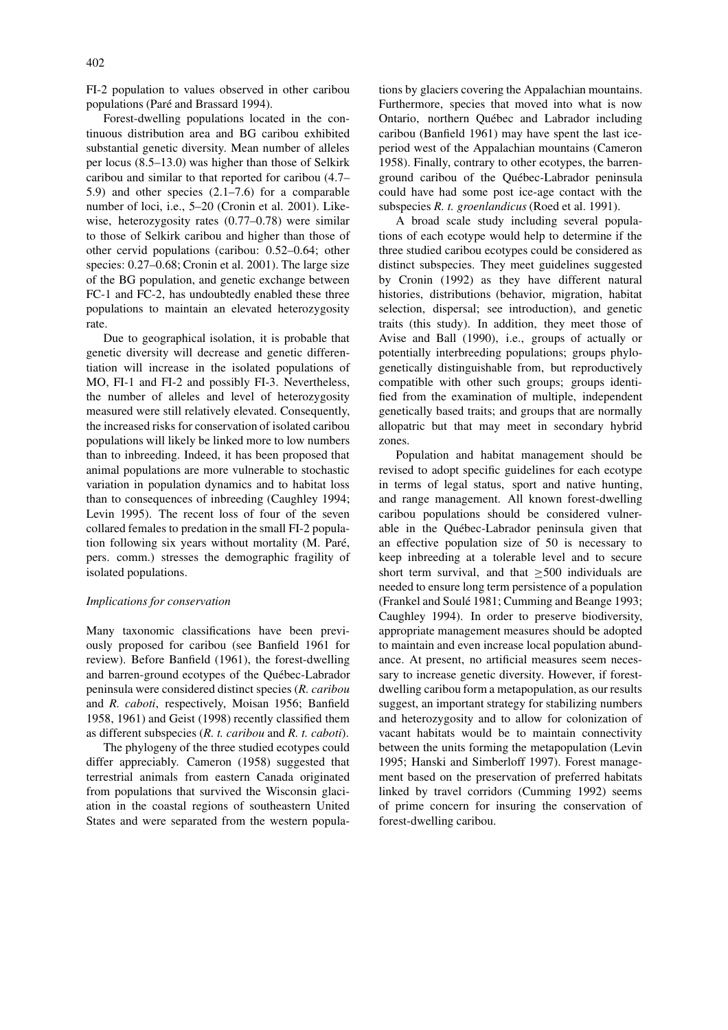FI-2 population to values observed in other caribou populations (Paré and Brassard 1994).

Forest-dwelling populations located in the continuous distribution area and BG caribou exhibited substantial genetic diversity. Mean number of alleles per locus (8.5–13.0) was higher than those of Selkirk caribou and similar to that reported for caribou (4.7– 5.9) and other species (2.1–7.6) for a comparable number of loci, i.e., 5–20 (Cronin et al. 2001). Likewise, heterozygosity rates (0.77–0.78) were similar to those of Selkirk caribou and higher than those of other cervid populations (caribou: 0.52–0.64; other species:  $0.27-0.68$ ; Cronin et al. 2001). The large size of the BG population, and genetic exchange between FC-1 and FC-2, has undoubtedly enabled these three populations to maintain an elevated heterozygosity rate.

Due to geographical isolation, it is probable that genetic diversity will decrease and genetic differentiation will increase in the isolated populations of MO, FI-1 and FI-2 and possibly FI-3. Nevertheless, the number of alleles and level of heterozygosity measured were still relatively elevated. Consequently, the increased risks for conservation of isolated caribou populations will likely be linked more to low numbers than to inbreeding. Indeed, it has been proposed that animal populations are more vulnerable to stochastic variation in population dynamics and to habitat loss than to consequences of inbreeding (Caughley 1994; Levin 1995). The recent loss of four of the seven collared females to predation in the small FI-2 population following six years without mortality (M. Paré, pers. comm.) stresses the demographic fragility of isolated populations.

## *Implications for conservation*

Many taxonomic classifications have been previously proposed for caribou (see Banfield 1961 for review). Before Banfield (1961), the forest-dwelling and barren-ground ecotypes of the Québec-Labrador peninsula were considered distinct species (*R. caribou* and *R. caboti*, respectively, Moisan 1956; Banfield 1958, 1961) and Geist (1998) recently classified them as different subspecies (*R. t. caribou* and *R. t. caboti*).

The phylogeny of the three studied ecotypes could differ appreciably. Cameron (1958) suggested that terrestrial animals from eastern Canada originated from populations that survived the Wisconsin glaciation in the coastal regions of southeastern United States and were separated from the western populations by glaciers covering the Appalachian mountains. Furthermore, species that moved into what is now Ontario, northern Québec and Labrador including caribou (Banfield 1961) may have spent the last iceperiod west of the Appalachian mountains (Cameron 1958). Finally, contrary to other ecotypes, the barrenground caribou of the Québec-Labrador peninsula could have had some post ice-age contact with the subspecies *R. t. groenlandicus* (Roed et al. 1991).

A broad scale study including several populations of each ecotype would help to determine if the three studied caribou ecotypes could be considered as distinct subspecies. They meet guidelines suggested by Cronin (1992) as they have different natural histories, distributions (behavior, migration, habitat selection, dispersal; see introduction), and genetic traits (this study). In addition, they meet those of Avise and Ball (1990), i.e., groups of actually or potentially interbreeding populations; groups phylogenetically distinguishable from, but reproductively compatible with other such groups; groups identified from the examination of multiple, independent genetically based traits; and groups that are normally allopatric but that may meet in secondary hybrid zones.

Population and habitat management should be revised to adopt specific guidelines for each ecotype in terms of legal status, sport and native hunting, and range management. All known forest-dwelling caribou populations should be considered vulnerable in the Québec-Labrador peninsula given that an effective population size of 50 is necessary to keep inbreeding at a tolerable level and to secure short term survival, and that  $\geq 500$  individuals are needed to ensure long term persistence of a population (Frankel and Soulé 1981; Cumming and Beange 1993; Caughley 1994). In order to preserve biodiversity, appropriate management measures should be adopted to maintain and even increase local population abundance. At present, no artificial measures seem necessary to increase genetic diversity. However, if forestdwelling caribou form a metapopulation, as our results suggest, an important strategy for stabilizing numbers and heterozygosity and to allow for colonization of vacant habitats would be to maintain connectivity between the units forming the metapopulation (Levin 1995; Hanski and Simberloff 1997). Forest management based on the preservation of preferred habitats linked by travel corridors (Cumming 1992) seems of prime concern for insuring the conservation of forest-dwelling caribou.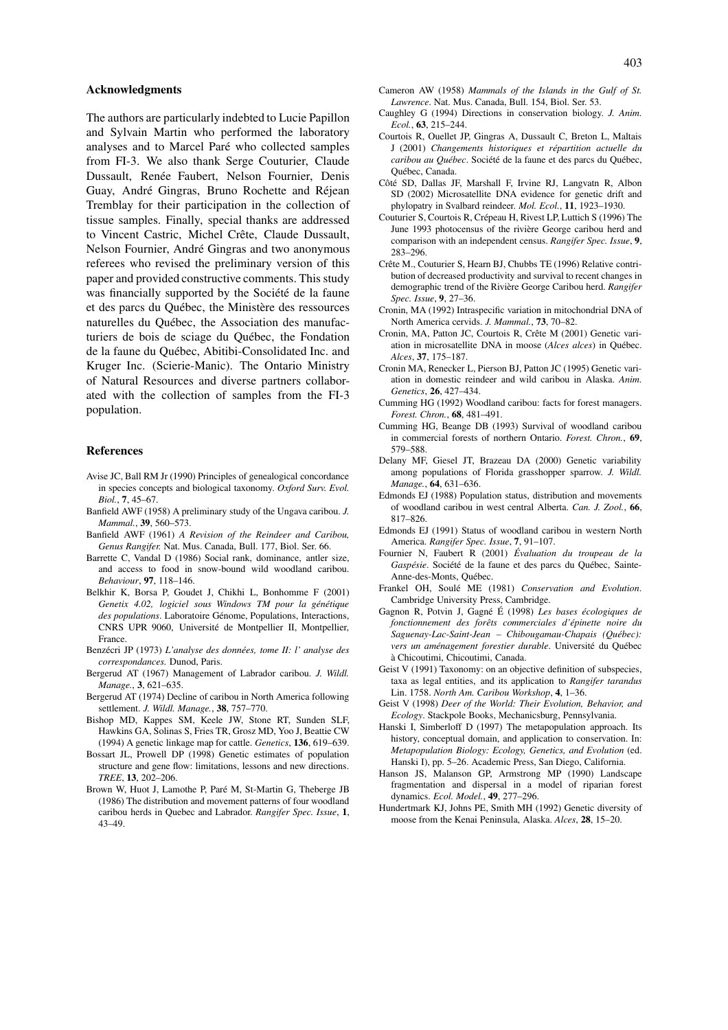#### **Acknowledgments**

The authors are particularly indebted to Lucie Papillon and Sylvain Martin who performed the laboratory analyses and to Marcel Paré who collected samples from FI-3. We also thank Serge Couturier, Claude Dussault, Renée Faubert, Nelson Fournier, Denis Guay, André Gingras, Bruno Rochette and Réjean Tremblay for their participation in the collection of tissue samples. Finally, special thanks are addressed to Vincent Castric, Michel Crête, Claude Dussault, Nelson Fournier, André Gingras and two anonymous referees who revised the preliminary version of this paper and provided constructive comments. This study was financially supported by the Société de la faune et des parcs du Québec, the Ministère des ressources naturelles du Québec, the Association des manufacturiers de bois de sciage du Québec, the Fondation de la faune du Québec, Abitibi-Consolidated Inc. and Kruger Inc. (Scierie-Manic). The Ontario Ministry of Natural Resources and diverse partners collaborated with the collection of samples from the FI-3 population.

#### **References**

- Avise JC, Ball RM Jr (1990) Principles of genealogical concordance in species concepts and biological taxonomy. *Oxford Surv. Evol. Biol.*, **7**, 45–67.
- Banfield AWF (1958) A preliminary study of the Ungava caribou. *J. Mammal.*, **39**, 560–573.
- Banfield AWF (1961) *A Revision of the Reindeer and Caribou, Genus Rangifer.* Nat. Mus. Canada, Bull. 177, Biol. Ser. 66.
- Barrette C, Vandal D (1986) Social rank, dominance, antler size, and access to food in snow-bound wild woodland caribou. *Behaviour*, **97**, 118–146.
- Belkhir K, Borsa P, Goudet J, Chikhi L, Bonhomme F (2001) *Genetix 4.02, logiciel sous Windows TM pour la génétique des populations*. Laboratoire Génome, Populations, Interactions, CNRS UPR 9060, Université de Montpellier II, Montpellier, France.
- Benzécri JP (1973) *L'analyse des données, tome II: l' analyse des correspondances.* Dunod, Paris.
- Bergerud AT (1967) Management of Labrador caribou. *J. Wildl. Manage.*, **3**, 621–635.
- Bergerud AT (1974) Decline of caribou in North America following settlement. *J. Wildl. Manage.*, **38**, 757–770.
- Bishop MD, Kappes SM, Keele JW, Stone RT, Sunden SLF, Hawkins GA, Solinas S, Fries TR, Grosz MD, Yoo J, Beattie CW (1994) A genetic linkage map for cattle. *Genetics*, **136**, 619–639.
- Bossart JL, Prowell DP (1998) Genetic estimates of population structure and gene flow: limitations, lessons and new directions. *TREE*, **13**, 202–206.
- Brown W, Huot J, Lamothe P, Paré M, St-Martin G, Theberge JB (1986) The distribution and movement patterns of four woodland caribou herds in Quebec and Labrador. *Rangifer Spec. Issue*, **1**, 43–49.
- Cameron AW (1958) *Mammals of the Islands in the Gulf of St. Lawrence*. Nat. Mus. Canada, Bull. 154, Biol. Ser. 53.
- Caughley G (1994) Directions in conservation biology. *J. Anim. Ecol.*, **63**, 215–244.
- Courtois R, Ouellet JP, Gingras A, Dussault C, Breton L, Maltais J (2001) *Changements historiques et répartition actuelle du caribou au Québec*. Société de la faune et des parcs du Québec, Québec, Canada.
- Côté SD, Dallas JF, Marshall F, Irvine RJ, Langvatn R, Albon SD (2002) Microsatellite DNA evidence for genetic drift and phylopatry in Svalbard reindeer. *Mol. Ecol.*, **11**, 1923–1930.
- Couturier S, Courtois R, Crépeau H, Rivest LP, Luttich S (1996) The June 1993 photocensus of the rivière George caribou herd and comparison with an independent census. *Rangifer Spec. Issue*, **9**, 283–296.
- Crête M., Couturier S, Hearn BJ, Chubbs TE (1996) Relative contribution of decreased productivity and survival to recent changes in demographic trend of the Rivière George Caribou herd. *Rangifer Spec. Issue*, **9**, 27–36.
- Cronin, MA (1992) Intraspecific variation in mitochondrial DNA of North America cervids. *J. Mammal.*, **73**, 70–82.
- Cronin, MA, Patton JC, Courtois R, Crête M (2001) Genetic variation in microsatellite DNA in moose (*Alces alces*) in Québec. *Alces*, **37**, 175–187.
- Cronin MA, Renecker L, Pierson BJ, Patton JC (1995) Genetic variation in domestic reindeer and wild caribou in Alaska. *Anim. Genetics*, **26**, 427–434.
- Cumming HG (1992) Woodland caribou: facts for forest managers. *Forest. Chron.*, **68**, 481–491.
- Cumming HG, Beange DB (1993) Survival of woodland caribou in commercial forests of northern Ontario. *Forest. Chron.*, **69**, 579–588.
- Delany MF, Giesel JT, Brazeau DA (2000) Genetic variability among populations of Florida grasshopper sparrow. *J. Wildl. Manage.*, **64**, 631–636.
- Edmonds EJ (1988) Population status, distribution and movements of woodland caribou in west central Alberta. *Can. J. Zool.*, **66**, 817–826.
- Edmonds EJ (1991) Status of woodland caribou in western North America. *Rangifer Spec. Issue*, **7**, 91–107.
- Fournier N, Faubert R (2001) *Évaluation du troupeau de la Gaspésie*. Société de la faune et des parcs du Québec, Sainte-Anne-des-Monts, Québec.
- Frankel OH, Soulé ME (1981) *Conservation and Evolution*. Cambridge University Press, Cambridge.
- Gagnon R, Potvin J, Gagné É (1998) *Les bases écologiques de fonctionnement des forêts commerciales d'épinette noire du Saguenay-Lac-Saint-Jean – Chibougamau-Chapais (Québec): vers un aménagement forestier durable*. Université du Québec à Chicoutimi, Chicoutimi, Canada.
- Geist V (1991) Taxonomy: on an objective definition of subspecies, taxa as legal entities, and its application to *Rangifer tarandus* Lin. 1758. *North Am. Caribou Workshop*, **4**, 1–36.
- Geist V (1998) *Deer of the World: Their Evolution, Behavior, and Ecology*. Stackpole Books, Mechanicsburg, Pennsylvania.
- Hanski I, Simberloff D (1997) The metapopulation approach. Its history, conceptual domain, and application to conservation. In: *Metapopulation Biology: Ecology, Genetics, and Evolution* (ed. Hanski I), pp. 5–26. Academic Press, San Diego, California.
- Hanson JS, Malanson GP, Armstrong MP (1990) Landscape fragmentation and dispersal in a model of riparian forest dynamics. *Ecol. Model.*, **49**, 277–296.
- Hundertmark KJ, Johns PE, Smith MH (1992) Genetic diversity of moose from the Kenai Peninsula, Alaska. *Alces*, **28**, 15–20.